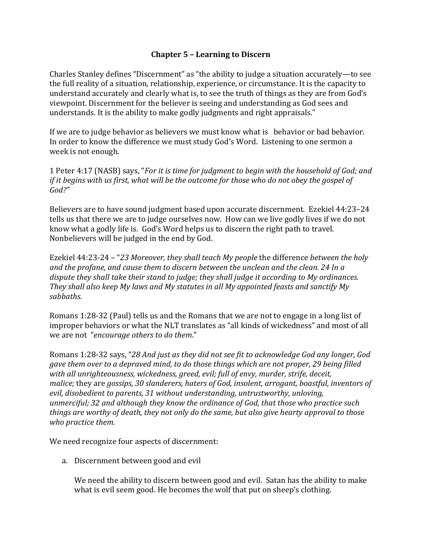## **Chapter 5 – Learning to Discern**

Charles Stanley defines "Discernment" as "the ability to judge a situation accurately—to see the full reality of a situation, relationship, experience, or circumstance. It is the capacity to understand accurately and clearly what is, to see the truth of things as they are from God's viewpoint. Discernment for the believer is seeing and understanding as God sees and understands. It is the ability to make godly judgments and right appraisals."

If we are to judge behavior as believers we must know what is behavior or bad behavior. In order to know the difference we must study God's Word. Listening to one sermon a week is not enough.

1 Peter 4:17 (NASB) says, "*For it is time for judgment to begin with the household of God; and if it begins with us first, what will be the outcome for those who do not obey the gospel of God?"*

Believers are to have sound judgment based upon accurate discernment. Ezekiel 44:23–24 tells us that there we are to judge ourselves now. How can we live godly lives if we do not know what a godly life is. God's Word helps us to discern the right path to travel. Nonbelievers will be judged in the end by God.

Ezekiel 44:23-24 – "*23 Moreover, they shall teach My people* the difference *between the holy and the profane, and cause them to discern between the unclean and the clean. 24 In a dispute they shall take their stand to judge; they shall judge it according to My ordinances. They shall also keep My laws and My statutes in all My appointed feasts and sanctify My sabbaths.* 

Romans 1:28-32 (Paul) tells us and the Romans that we are not to engage in a long list of improper behaviors or what the NLT translates as "all kinds of wickedness" and most of all we are not "*encourage others to do them*."

Romans 1:28-32 says, "*28 And just as they did not see fit to acknowledge God any longer, God gave them over to a depraved mind, to do those things which are not proper, 29 being filled with all unrighteousness, wickedness, greed, evil; full of envy, murder, strife, deceit, malice;* they are *gossips, 30 slanderers, haters of God, insolent, arrogant, boastful, inventors of evil, disobedient to parents, 31 without understanding, untrustworthy, unloving, unmerciful; 32 and although they know the ordinance of God, that those who practice such things are worthy of death, they not only do the same, but also give hearty approval to those who practice them.* 

We need recognize four aspects of discernment:

a. Discernment between good and evil

We need the ability to discern between good and evil. Satan has the ability to make what is evil seem good. He becomes the wolf that put on sheep's clothing.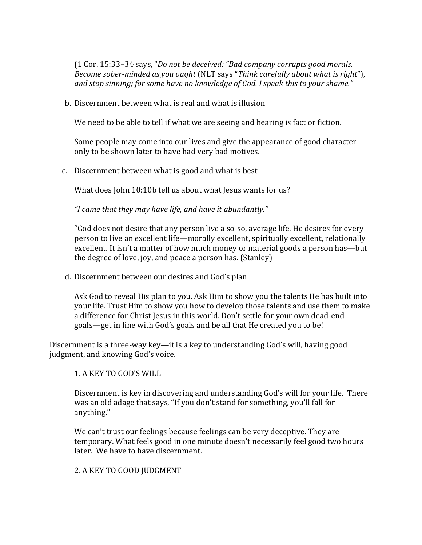(1 Cor. 15:33–34 says, "*Do not be deceived: "Bad company corrupts good morals. Become sober-minded as you ought* (NLT says "*Think carefully about what is right*"), *and stop sinning; for some have no knowledge of God. I speak this to your shame."* 

b. Discernment between what is real and what is illusion

We need to be able to tell if what we are seeing and hearing is fact or fiction.

Some people may come into our lives and give the appearance of good character only to be shown later to have had very bad motives.

c. Discernment between what is good and what is best

What does John 10:10b tell us about what Jesus wants for us?

 *"I came that they may have life, and have it abundantly."* 

"God does not desire that any person live a so-so, average life. He desires for every person to live an excellent life—morally excellent, spiritually excellent, relationally excellent. It isn't a matter of how much money or material goods a person has—but the degree of love, joy, and peace a person has. (Stanley)

d. Discernment between our desires and God's plan

Ask God to reveal His plan to you. Ask Him to show you the talents He has built into your life. Trust Him to show you how to develop those talents and use them to make a difference for Christ Jesus in this world. Don't settle for your own dead-end goals—get in line with God's goals and be all that He created you to be!

Discernment is a three-way key—it is a key to understanding God's will, having good judgment, and knowing God's voice.

1. A KEY TO GOD'S WILL

Discernment is key in discovering and understanding God's will for your life. There was an old adage that says, "If you don't stand for something, you'll fall for anything."

We can't trust our feelings because feelings can be very deceptive. They are temporary. What feels good in one minute doesn't necessarily feel good two hours later. We have to have discernment.

2. A KEY TO GOOD JUDGMENT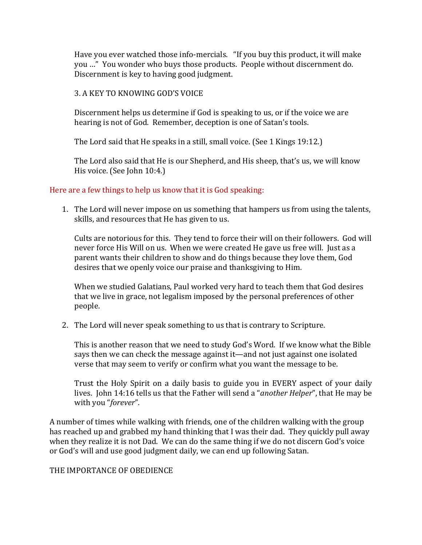Have you ever watched those info-mercials. "If you buy this product, it will make you …" You wonder who buys those products. People without discernment do. Discernment is key to having good judgment.

## 3. A KEY TO KNOWING GOD'S VOICE

Discernment helps us determine if God is speaking to us, or if the voice we are hearing is not of God. Remember, deception is one of Satan's tools.

The Lord said that He speaks in a still, small voice. (See 1 Kings 19:12.)

The Lord also said that He is our Shepherd, and His sheep, that's us, we will know His voice. (See John 10:4.)

## Here are a few things to help us know that it is God speaking:

1. The Lord will never impose on us something that hampers us from using the talents, skills, and resources that He has given to us.

Cults are notorious for this. They tend to force their will on their followers. God will never force His Will on us. When we were created He gave us free will. Just as a parent wants their children to show and do things because they love them, God desires that we openly voice our praise and thanksgiving to Him.

When we studied Galatians, Paul worked very hard to teach them that God desires that we live in grace, not legalism imposed by the personal preferences of other people.

2. The Lord will never speak something to us that is contrary to Scripture.

This is another reason that we need to study God's Word. If we know what the Bible says then we can check the message against it—and not just against one isolated verse that may seem to verify or confirm what you want the message to be.

Trust the Holy Spirit on a daily basis to guide you in EVERY aspect of your daily lives. John 14:16 tells us that the Father will send a "*another Helper*", that He may be with you "*forever*".

A number of times while walking with friends, one of the children walking with the group has reached up and grabbed my hand thinking that I was their dad. They quickly pull away when they realize it is not Dad. We can do the same thing if we do not discern God's voice or God's will and use good judgment daily, we can end up following Satan.

## THE IMPORTANCE OF OBEDIENCE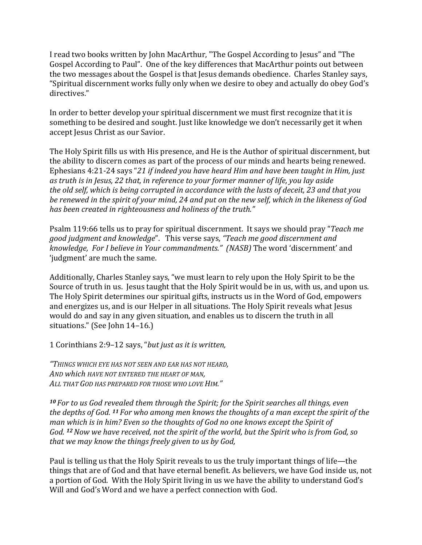I read two books written by John MacArthur, "The Gospel According to Jesus" and "The Gospel According to Paul". One of the key differences that MacArthur points out between the two messages about the Gospel is that Jesus demands obedience. Charles Stanley says, "Spiritual discernment works fully only when we desire to obey and actually do obey God's directives."

In order to better develop your spiritual discernment we must first recognize that it is something to be desired and sought. Just like knowledge we don't necessarily get it when accept Jesus Christ as our Savior.

The Holy Spirit fills us with His presence, and He is the Author of spiritual discernment, but the ability to discern comes as part of the process of our minds and hearts being renewed. Ephesians 4:21-24 says "*21 if indeed you have heard Him and have been taught in Him, just as truth is in Jesus, 22 that, in reference to your former manner of life, you lay aside the old self, which is being corrupted in accordance with the lusts of deceit, 23 and that you be renewed in the spirit of your mind, 24 and put on the new self, which in the likeness of God has been created in righteousness and holiness of the truth."* 

Psalm 119:66 tells us to pray for spiritual discernment. It says we should pray "*Teach me good judgment and knowledge*". This verse says*, "Teach me good discernment and knowledge, For I believe in Your commandments." (NASB)* The word 'discernment' and 'judgment' are much the same.

Additionally, Charles Stanley says, "we must learn to rely upon the Holy Spirit to be the Source of truth in us. Jesus taught that the Holy Spirit would be in us, with us, and upon us. The Holy Spirit determines our spiritual gifts, instructs us in the Word of God, empowers and energizes us, and is our Helper in all situations. The Holy Spirit reveals what Jesus would do and say in any given situation, and enables us to discern the truth in all situations." (See John 14–16.)

1 Corinthians 2:9–12 says, "*but just as it is written,* 

*"THINGS WHICH EYE HAS NOT SEEN AND EAR HAS NOT HEARD, AND which HAVE NOT ENTERED THE HEART OF MAN, ALL THAT GOD HAS PREPARED FOR THOSE WHO LOVE HIM."* 

*<sup>10</sup>For to us God revealed them through the Spirit; for the Spirit searches all things, even the depths of God. 11 For who among men knows the thoughts of a man except the spirit of the man which is in him? Even so the thoughts of God no one knows except the Spirit of God. 12 Now we have received, not the spirit of the world, but the Spirit who is from God, so that we may know the things freely given to us by God,* 

Paul is telling us that the Holy Spirit reveals to us the truly important things of life—the things that are of God and that have eternal benefit. As believers, we have God inside us, not a portion of God. With the Holy Spirit living in us we have the ability to understand God's Will and God's Word and we have a perfect connection with God.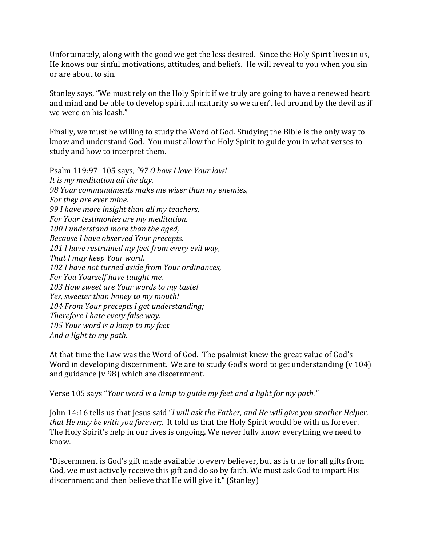Unfortunately, along with the good we get the less desired. Since the Holy Spirit lives in us, He knows our sinful motivations, attitudes, and beliefs. He will reveal to you when you sin or are about to sin.

Stanley says, "We must rely on the Holy Spirit if we truly are going to have a renewed heart and mind and be able to develop spiritual maturity so we aren't led around by the devil as if we were on his leash."

Finally, we must be willing to study the Word of God. Studying the Bible is the only way to know and understand God. You must allow the Holy Spirit to guide you in what verses to study and how to interpret them.

Psalm 119:97–105 says, *"97 O how I love Your law! It is my meditation all the day. 98 Your commandments make me wiser than my enemies, For they are ever mine. 99 I have more insight than all my teachers, For Your testimonies are my meditation. 100 I understand more than the aged, Because I have observed Your precepts. 101 I have restrained my feet from every evil way, That I may keep Your word. 102 I have not turned aside from Your ordinances, For You Yourself have taught me. 103 How sweet are Your words to my taste! Yes, sweeter than honey to my mouth! 104 From Your precepts I get understanding; Therefore I hate every false way. 105 Your word is a lamp to my feet And a light to my path.* 

At that time the Law was the Word of God. The psalmist knew the great value of God's Word in developing discernment. We are to study God's word to get understanding (v 104) and guidance (v 98) which are discernment.

Verse 105 says "*Your word is a lamp to guide my feet and a light for my path."* 

John 14:16 tells us that Jesus said "*I will ask the Father, and He will give you another Helper, that He may be with you forever;.* It told us that the Holy Spirit would be with us forever. The Holy Spirit's help in our lives is ongoing. We never fully know everything we need to know.

"Discernment is God's gift made available to every believer, but as is true for all gifts from God, we must actively receive this gift and do so by faith. We must ask God to impart His discernment and then believe that He will give it." (Stanley)